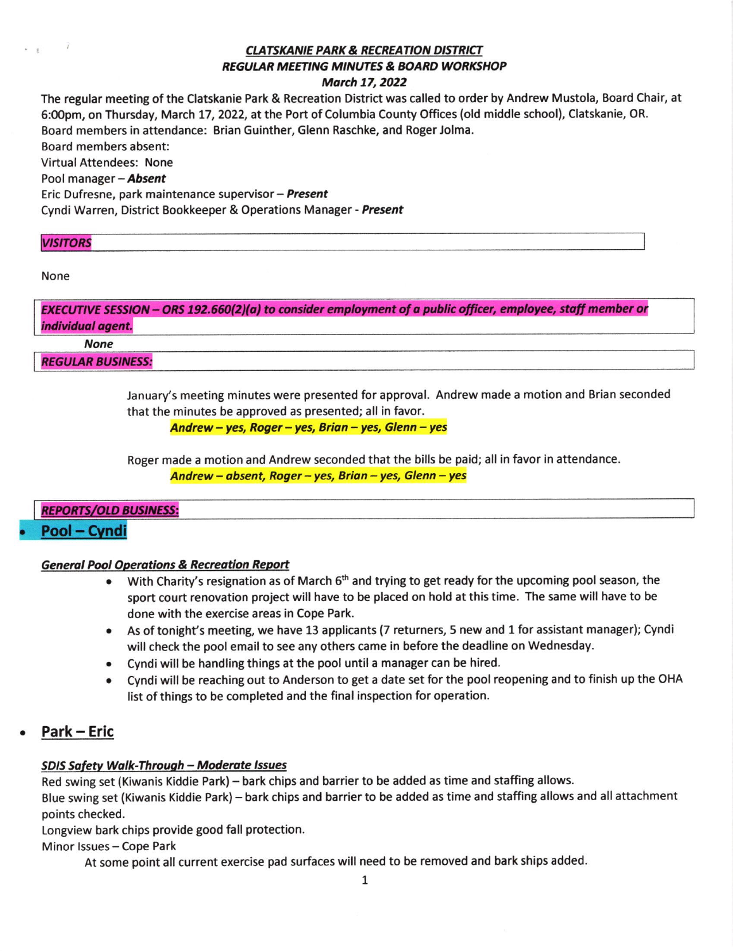# **CLATSKANIE PARK & RECREATION DISTRICT** REGULAR MEETING MINUTES & BOARD WORKSHOP March 17, 2022

The regular meeting of the Clatskanie Park & Recreation District was called to order by Andrew Mustola, Board Chair, at 6:00pm, on Thursday, March 17, 2022, at the Port of Columbia County Offices (old middle school), Clatskanie, OR. Board members in attendance: Brian Guinther, Glenn Raschke, and Roger Jolma. Board members absent: Virtual Attendees: None Pool manager - **Absent** Eric Dufresne, park maintenance supervisor - Present Cyndi Warren, District Bookkeeper & Operations Manager - Present

#### **VISITORS**

None

 $\frac{1}{2}$   $\frac{1}{2}$ 

|                          | EXECUTIVE SESSION – ORS 192.660(2)(a) to consider employment of a public officer, employee, staff member or |
|--------------------------|-------------------------------------------------------------------------------------------------------------|
| individual agent.        |                                                                                                             |
| <b>None</b>              |                                                                                                             |
| <b>REGULAR BUSINESS:</b> |                                                                                                             |

January's meeting minutes were presented for approval. Andrew made a motion and Brian seconded that the minutes be approved as presented; all in favor.

Andrew - yes, Roger - yes, Brian - yes, Glenn - yes

Roger made a motion and Andrew seconded that the bills be paid; all in favor in attendance Andrew - absent, Roger - yes, Brian - yes, Glenn - yes

# **REPORTS/OLD BUSINESS:**

# Pool - Cyndi

# **General Pool Operations & Recreation Report**

- With Charity's resignation as of March 6<sup>th</sup> and trying to get ready for the upcoming pool season, the sport court renovation project will have to be placed on hold at this time. The same will have to be done with the exercise areas in Cope Park.
- . As of tonight's meeting, we have 13 applicants (7 returners, 5 new and 1 for assistant manager); Cyndi will check the pool email to see any others came in before the deadline on Wednesday.
- . Cyndi will be handling things at the pool until a manager can be hired.
- . Cyndi will be reaching out to Anderson to get a date set for the pool reopening and to finish up the OHA list of things to be completed and the final inspection for operation.

# Park - Eric

# SDIS Safety Walk-Through - Moderate Issues

Red swing set (Kiwanis Kiddie Park) - bark chips and barrier to be added as time and staffing allows.

Blue swing set (Kiwanis Kiddie Park) - bark chips and barrier to be added as time and staffing allows and all attachment points checked.

Longview bark chips provide good fall protection.

Minor Issues - Cope Park

At some point all current exercise pad surfaces will need to be removed and bark ships added.